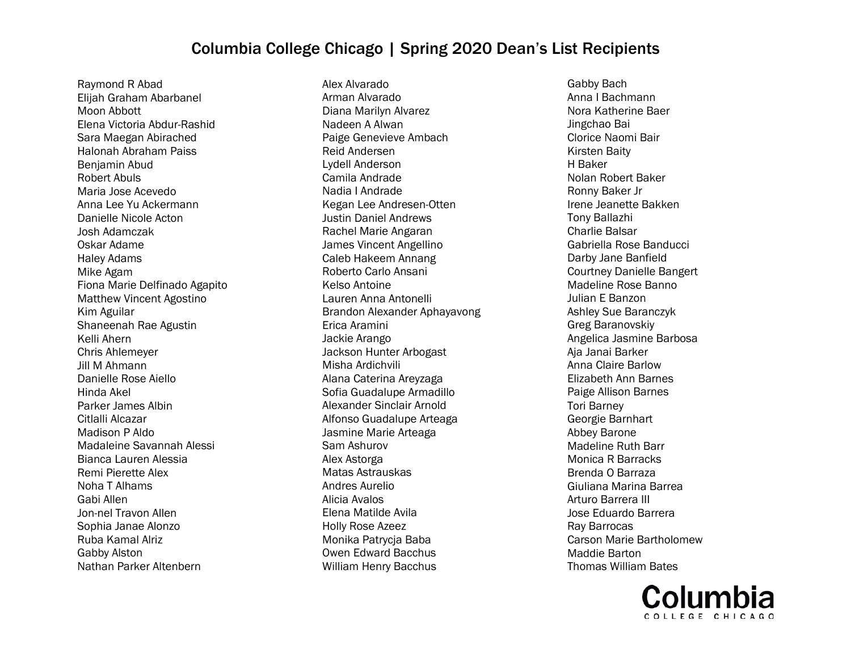Raymond R Abad Elijah Graham Abarbanel Moon Abbott Elena Victoria Abdur-Rashid Sara Maegan Abirached Halonah Abraham Paiss Benjamin Abud Robert Abuls Maria Jose Acevedo Anna Lee Yu Ackermann Danielle Nicole Acton Josh Adamczak Oskar Adame Haley Adams Mike Agam Fiona Marie Delfinado Agapito Matthew Vincent Agostino Kim Aguilar Shaneenah Rae Agustin Kelli Ahern Chris Ahlemeyer Jill M Ahmann Danielle Rose Aiello Hinda Akel Parker James Albin Citlalli Alcazar Madison P Aldo Madaleine Savannah Alessi Bianca Lauren Alessia Remi Pierette Alex Noha T Alhams Gabi Allen Jon-nel Travon Allen Sophia Janae Alonzo Ruba Kamal Alriz Gabby Alston Nathan Parker Altenbern

Alex Alvarado Arman Alvarado Diana Marilyn Alvarez Nadeen A Alwan Paige Genevieve Ambach Reid Andersen Lydell Anderson Camila Andrade Nadia I Andrade Kegan Lee Andresen-Otten Justin Daniel Andrews Rachel Marie Angaran James Vincent Angellino Caleb Hakeem Annang Roberto Carlo Ansani Kelso Antoine Lauren Anna Antonelli Brandon Alexander Aphayavong Erica Aramini Jackie Arango Jackson Hunter Arbogast Misha Ardichvili Alana Caterina Areyzaga Sofia Guadalupe Armadillo Alexander Sinclair Arnold Alfonso Guadalupe Arteaga Jasmine Marie Arteaga Sam Ashurov Alex Astorga Matas Astrauskas Andres Aurelio Alicia Avalos Elena Matilde Avila Holly Rose Azeez Monika Patrycja Baba Owen Edward Bacchus William Henry Bacchus

Gabby Bach Anna I Bachmann Nora Katherine Baer Jingchao Bai Clorice Naomi Bair Kirsten Baity H Baker Nolan Robert Baker Ronny Baker Jr Irene Jeanette Bakken Tony Ballazhi Charlie Balsar Gabriella Rose Banducci Darby Jane Banfield Courtney Danielle Bangert Madeline Rose Banno Julian E Banzon Ashley Sue Baranczyk Greg Baranovskiy Angelica Jasmine Barbosa Aja Janai Barker Anna Claire Barlow Elizabeth Ann Barnes Paige Allison Barnes Tori Barney Georgie Barnhart Abbey Barone Madeline Ruth Barr Monica R Barracks Brenda O Barraza Giuliana Marina Barrea Arturo Barrera III Jose Eduardo Barrera Ray Barrocas Carson Marie Bartholomew Maddie Barton Thomas William Bates

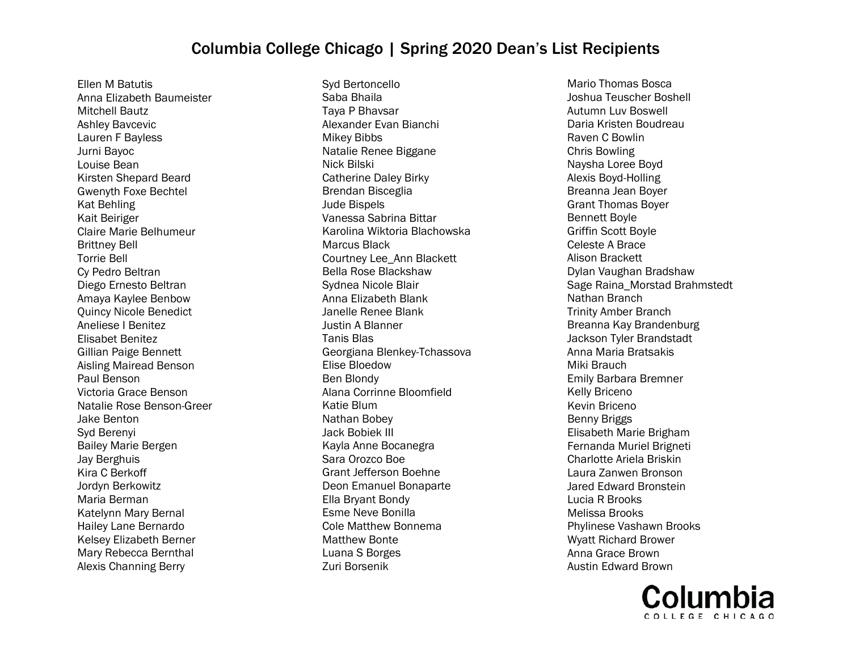Ellen M Batutis Anna Elizabeth Baumeister Mitchell Bautz Ashley Bavcevic Lauren F Bayless Jurni Bayoc Louise Bean Kirsten Shepard Beard Gwenyth Foxe Bechtel Kat Behling Kait Beiriger Claire Marie Belhumeur Brittney Bell Torrie Bell Cy Pedro Beltran Diego Ernesto Beltran Amaya Kaylee Benbow Quincy Nicole Benedict Aneliese I Benitez Elisabet Benitez Gillian Paige Bennett Aisling Mairead Benson Paul Benson Victoria Grace Benson Natalie Rose Benson-Greer Jake Benton Syd Berenyi Bailey Marie Bergen Jay Berghuis Kira C Berkoff Jordyn Berkowitz Maria Berman Katelynn Mary Bernal Hailey Lane Bernardo Kelsey Elizabeth Berner Mary Rebecca Bernthal Alexis Channing Berry

Syd Bertoncello Saba Bhaila Taya P Bhavsar Alexander Evan Bianchi Mikey Bibbs Natalie Renee Biggane Nick Bilski Catherine Daley Birky Brendan Bisceglia Jude Bispels Vanessa Sabrina Bittar Karolina Wiktoria Blachowska Marcus Black Courtney Lee\_Ann Blackett Bella Rose Blackshaw Sydnea Nicole Blair Anna Elizabeth Blank Janelle Renee Blank Justin A Blanner Tanis Blas Georgiana Blenkey-Tchassova Elise Bloedow Ben Blondy Alana Corrinne Bloomfield Katie Blum Nathan Bobey Jack Bobiek III Kayla Anne Bocanegra Sara Orozco Boe Grant Jefferson Boehne Deon Emanuel Bonaparte Ella Bryant Bondy Esme Neve Bonilla Cole Matthew Bonnema Matthew Bonte Luana S Borges Zuri Borsenik

Mario Thomas Bosca Joshua Teuscher Boshell Autumn Luv Boswell Daria Kristen Boudreau Raven C Bowlin Chris Bowling Naysha Loree Boyd Alexis Boyd-Holling Breanna Jean Boyer Grant Thomas Boyer Bennett Boyle Griffin Scott Boyle Celeste A Brace Alison Brackett Dylan Vaughan Bradshaw Sage Raina\_Morstad Brahmstedt Nathan Branch Trinity Amber Branch Breanna Kay Brandenburg Jackson Tyler Brandstadt Anna Maria Bratsakis Miki Brauch Emily Barbara Bremner Kelly Briceno Kevin Briceno Benny Briggs Elisabeth Marie Brigham Fernanda Muriel Brigneti Charlotte Ariela Briskin Laura Zanwen Bronson Jared Edward Bronstein Lucia R Brooks Melissa Brooks Phylinese Vashawn Brooks Wyatt Richard Brower Anna Grace Brown Austin Edward Brown

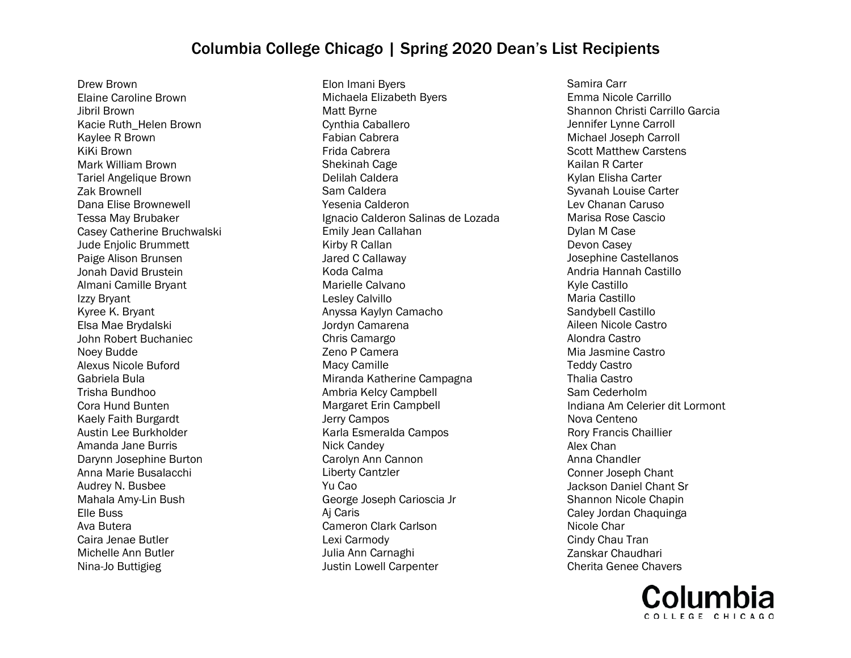Drew Brown Elaine Caroline Brown Jibril Brown Kacie Ruth\_Helen Brown Kaylee R Brown KiKi Brown Mark William Brown Tariel Angelique Brown Zak Brownell Dana Elise Brownewell Tessa May Brubaker Casey Catherine Bruchwalski Jude Enjolic Brummett Paige Alison Brunsen Jonah David Brustein Almani Camille Bryant Izzy Bryant Kyree K. Bryant Elsa Mae Brydalski John Robert Buchaniec Noey Budde Alexus Nicole Buford Gabriela Bula Trisha Bundhoo Cora Hund Bunten Kaely Faith Burgardt Austin Lee Burkholder Amanda Jane Burris Darynn Josephine Burton Anna Marie Busalacchi Audrey N. Busbee Mahala Amy-Lin Bush Elle Buss Ava Butera Caira Jenae Butler Michelle Ann Butler Nina-Jo Buttigieg

Elon Imani Byers Michaela Elizabeth Byers Matt Byrne Cynthia Caballero Fabian Cabrera Frida Cabrera Shekinah Cage Delilah Caldera Sam Caldera Yesenia Calderon Ignacio Calderon Salinas de Lozada Emily Jean Callahan Kirby R Callan Jared C Callaway Koda Calma Marielle Calvano Lesley Calvillo Anyssa Kaylyn Camacho Jordyn Camarena Chris Camargo Zeno P Camera Macy Camille Miranda Katherine Campagna Ambria Kelcy Campbell Margaret Erin Campbell Jerry Campos Karla Esmeralda Campos Nick Candey Carolyn Ann Cannon Liberty Cantzler Yu Cao George Joseph Carioscia Jr Aj Caris Cameron Clark Carlson Lexi Carmody Julia Ann Carnaghi Justin Lowell Carpenter

Samira Carr Emma Nicole Carrillo Shannon Christi Carrillo Garcia Jennifer Lynne Carroll Michael Joseph Carroll Scott Matthew Carstens Kailan R Carter Kylan Elisha Carter Syvanah Louise Carter Lev Chanan Caruso Marisa Rose Cascio Dylan M Case Devon Casey Josephine Castellanos Andria Hannah Castillo Kyle Castillo Maria Castillo Sandybell Castillo Aileen Nicole Castro Alondra Castro Mia Jasmine Castro Teddy Castro Thalia Castro Sam Cederholm Indiana Am Celerier dit Lormont Nova Centeno Rory Francis Chaillier Alex Chan Anna Chandler Conner Joseph Chant Jackson Daniel Chant Sr Shannon Nicole Chapin Caley Jordan Chaquinga Nicole Char Cindy Chau Tran Zanskar Chaudhari Cherita Genee Chavers

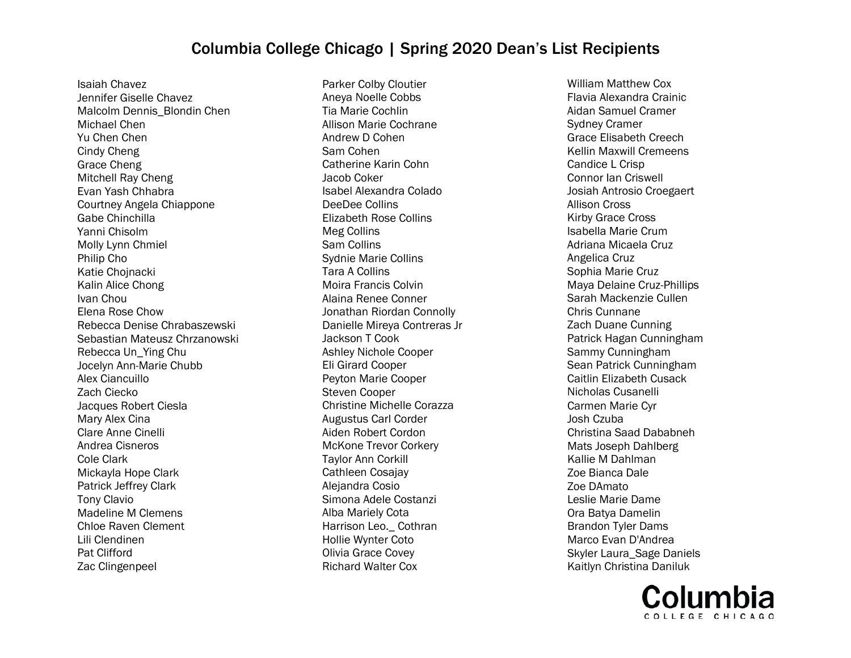Isaiah Chavez Jennifer Giselle Chavez Malcolm Dennis\_Blondin Chen Michael Chen Yu Chen Chen Cindy Cheng Grace Cheng Mitchell Ray Cheng Evan Yash Chhabra Courtney Angela Chiappone Gabe Chinchilla Yanni Chisolm Molly Lynn Chmiel Philip Cho Katie Chojnacki Kalin Alice Chong Ivan Chou Elena Rose Chow Rebecca Denise Chrabaszewski Sebastian Mateusz Chrzanowski Rebecca Un\_Ying Chu Jocelyn Ann-Marie Chubb Alex Ciancuillo Zach Ciecko Jacques Robert Ciesla Mary Alex Cina Clare Anne Cinelli Andrea Cisneros Cole Clark Mickayla Hope Clark Patrick Jeffrey Clark Tony Clavio Madeline M Clemens Chloe Raven Clement Lili Clendinen Pat Clifford Zac Clingenpeel

Parker Colby Cloutier Aneya Noelle Cobbs Tia Marie Cochlin Allison Marie Cochrane Andrew D Cohen Sam Cohen Catherine Karin Cohn Jacob Coker Isabel Alexandra Colado DeeDee Collins Elizabeth Rose Collins Meg Collins Sam Collins Sydnie Marie Collins Tara A Collins Moira Francis Colvin Alaina Renee Conner Jonathan Riordan Connolly Danielle Mireya Contreras Jr Jackson T Cook Ashley Nichole Cooper Eli Girard Cooper Peyton Marie Cooper Steven Cooper Christine Michelle Corazza Augustus Carl Corder Aiden Robert Cordon McKone Trevor Corkery Taylor Ann Corkill Cathleen Cosajay Alejandra Cosio Simona Adele Costanzi Alba Mariely Cota Harrison Leo.\_ Cothran Hollie Wynter Coto Olivia Grace Covey Richard Walter Cox

William Matthew Cox Flavia Alexandra Crainic Aidan Samuel Cramer Sydney Cramer Grace Elisabeth Creech Kellin Maxwill Cremeens Candice L Crisp Connor Ian Criswell Josiah Antrosio Croegaert Allison Cross Kirby Grace Cross Isabella Marie Crum Adriana Micaela Cruz Angelica Cruz Sophia Marie Cruz Maya Delaine Cruz-Phillips Sarah Mackenzie Cullen Chris Cunnane Zach Duane Cunning Patrick Hagan Cunningham Sammy Cunningham Sean Patrick Cunningham Caitlin Elizabeth Cusack Nicholas Cusanelli Carmen Marie Cyr Josh Czuba Christina Saad Dababneh Mats Joseph Dahlberg Kallie M Dahlman Zoe Bianca Dale Zoe DAmato Leslie Marie Dame Ora Batya Damelin Brandon Tyler Dams Marco Evan D'Andrea Skyler Laura\_Sage Daniels Kaitlyn Christina Daniluk

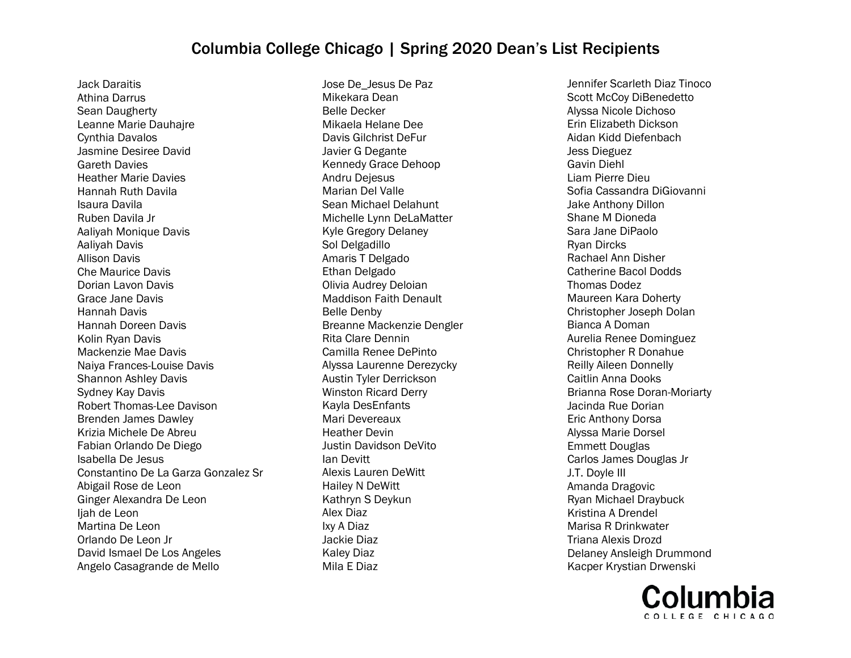Jack Daraitis Athina Darrus Sean Daugherty Leanne Marie Dauhajre Cynthia Davalos Jasmine Desiree David Gareth Davies Heather Marie Davies Hannah Ruth Davila Isaura Davila Ruben Davila Jr Aaliyah Monique Davis Aaliyah Davis Allison Davis Che Maurice Davis Dorian Lavon Davis Grace Jane Davis Hannah Davis Hannah Doreen Davis Kolin Ryan Davis Mackenzie Mae Davis Naiya Frances-Louise Davis Shannon Ashley Davis Sydney Kay Davis Robert Thomas-Lee Davison Brenden James Dawley Krizia Michele De Abreu Fabian Orlando De Diego Isabella De Jesus Constantino De La Garza Gonzalez Sr Abigail Rose de Leon Ginger Alexandra De Leon Ijah de Leon Martina De Leon Orlando De Leon Jr David Ismael De Los Angeles Angelo Casagrande de Mello

Jose De\_Jesus De Paz Mikekara Dean Belle Decker Mikaela Helane Dee Davis Gilchrist DeFur Javier G Degante Kennedy Grace Dehoop Andru Dejesus Marian Del Valle Sean Michael Delahunt Michelle Lynn DeLaMatter Kyle Gregory Delaney Sol Delgadillo Amaris T Delgado Ethan Delgado Olivia Audrey Deloian Maddison Faith Denault Belle Denby Breanne Mackenzie Dengler Rita Clare Dennin Camilla Renee DePinto Alyssa Laurenne Derezycky Austin Tyler Derrickson Winston Ricard Derry Kayla DesEnfants Mari Devereaux Heather Devin Justin Davidson DeVito Ian Devitt Alexis Lauren DeWitt Hailey N DeWitt Kathryn S Deykun Alex Diaz Ixy A Diaz Jackie Diaz Kaley Diaz Mila E Diaz

Jennifer Scarleth Diaz Tinoco Scott McCoy DiBenedetto Alyssa Nicole Dichoso Erin Elizabeth Dickson Aidan Kidd Diefenbach Jess Dieguez Gavin Diehl Liam Pierre Dieu Sofia Cassandra DiGiovanni Jake Anthony Dillon Shane M Dioneda Sara Jane DiPaolo Ryan Dircks Rachael Ann Disher Catherine Bacol Dodds Thomas Dodez Maureen Kara Doherty Christopher Joseph Dolan Bianca A Doman Aurelia Renee Dominguez Christopher R Donahue Reilly Aileen Donnelly Caitlin Anna Dooks Brianna Rose Doran-Moriarty Jacinda Rue Dorian Eric Anthony Dorsa Alyssa Marie Dorsel Emmett Douglas Carlos James Douglas Jr J.T. Doyle III Amanda Dragovic Ryan Michael Draybuck Kristina A Drendel Marisa R Drinkwater Triana Alexis Drozd Delaney Ansleigh Drummond Kacper Krystian Drwenski

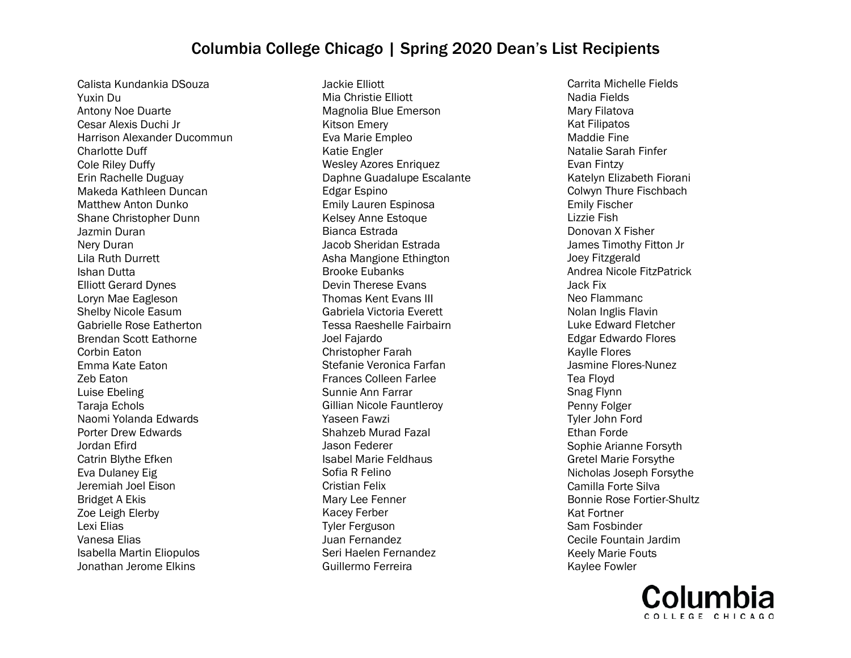Calista Kundankia DSouza Yuxin Du Antony Noe Duarte Cesar Alexis Duchi Jr Harrison Alexander Ducommun Charlotte Duff Cole Riley Duffy Erin Rachelle Duguay Makeda Kathleen Duncan Matthew Anton Dunko Shane Christopher Dunn Jazmin Duran Nery Duran Lila Ruth Durrett Ishan Dutta Elliott Gerard Dynes Loryn Mae Eagleson Shelby Nicole Easum Gabrielle Rose Eatherton Brendan Scott Eathorne Corbin Eaton Emma Kate Eaton Zeb Eaton Luise Ebeling Taraja Echols Naomi Yolanda Edwards Porter Drew Edwards Jordan Efird Catrin Blythe Efken Eva Dulaney Eig Jeremiah Joel Eison Bridget A Ekis Zoe Leigh Elerby Lexi Elias Vanesa Elias Isabella Martin Eliopulos Jonathan Jerome Elkins

Jackie Elliott Mia Christie Elliott Magnolia Blue Emerson Kitson Emery Eva Marie Empleo Katie Engler Wesley Azores Enriquez Daphne Guadalupe Escalante Edgar Espino Emily Lauren Espinosa Kelsey Anne Estoque Bianca Estrada Jacob Sheridan Estrada Asha Mangione Ethington Brooke Eubanks Devin Therese Evans Thomas Kent Evans III Gabriela Victoria Everett Tessa Raeshelle Fairbairn Joel Fajardo Christopher Farah Stefanie Veronica Farfan Frances Colleen Farlee Sunnie Ann Farrar Gillian Nicole Fauntleroy Yaseen Fawzi Shahzeb Murad Fazal Jason Federer Isabel Marie Feldhaus Sofia R Felino Cristian Felix Mary Lee Fenner Kacey Ferber Tyler Ferguson Juan Fernandez Seri Haelen Fernandez Guillermo Ferreira

Carrita Michelle Fields Nadia Fields Mary Filatova Kat Filipatos Maddie Fine Natalie Sarah Finfer Evan Fintzy Katelyn Elizabeth Fiorani Colwyn Thure Fischbach Emily Fischer Lizzie Fish Donovan X Fisher James Timothy Fitton Jr Joey Fitzgerald Andrea Nicole FitzPatrick Jack Fix Neo Flammanc Nolan Inglis Flavin Luke Edward Fletcher Edgar Edwardo Flores Kaylle Flores Jasmine Flores-Nunez Tea Floyd Snag Flynn Penny Folger Tyler John Ford Ethan Forde Sophie Arianne Forsyth Gretel Marie Forsythe Nicholas Joseph Forsythe Camilla Forte Silva Bonnie Rose Fortier-Shultz Kat Fortner Sam Fosbinder Cecile Fountain Jardim Keely Marie Fouts Kaylee Fowler

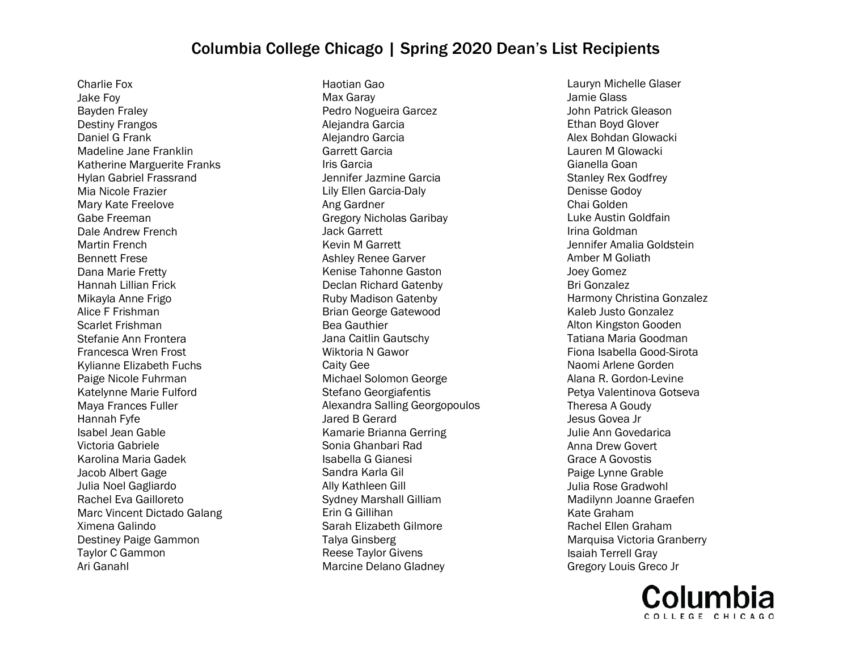Charlie Fox Jake Foy Bayden Fraley Destiny Frangos Daniel G Frank Madeline Jane Franklin Katherine Marguerite Franks Hylan Gabriel Frassrand Mia Nicole Frazier Mary Kate Freelove Gabe Freeman Dale Andrew French Martin French Bennett Frese Dana Marie Fretty Hannah Lillian Frick Mikayla Anne Frigo Alice F Frishman Scarlet Frishman Stefanie Ann Frontera Francesca Wren Frost Kylianne Elizabeth Fuchs Paige Nicole Fuhrman Katelynne Marie Fulford Maya Frances Fuller Hannah Fyfe Isabel Jean Gable Victoria Gabriele Karolina Maria Gadek Jacob Albert Gage Julia Noel Gagliardo Rachel Eva Gailloreto Marc Vincent Dictado Galang Ximena Galindo Destiney Paige Gammon Taylor C Gammon Ari Ganahl

Haotian Gao Max Garay Pedro Nogueira Garcez Alejandra Garcia Alejandro Garcia Garrett Garcia Iris Garcia Jennifer Jazmine Garcia Lily Ellen Garcia-Daly Ang Gardner Gregory Nicholas Garibay Jack Garrett Kevin M Garrett Ashley Renee Garver Kenise Tahonne Gaston Declan Richard Gatenby Ruby Madison Gatenby Brian George Gatewood Bea Gauthier Jana Caitlin Gautschy Wiktoria N Gawor Caity Gee Michael Solomon George Stefano Georgiafentis Alexandra Salling Georgopoulos Jared B Gerard Kamarie Brianna Gerring Sonia Ghanbari Rad Isabella G Gianesi Sandra Karla Gil Ally Kathleen Gill Sydney Marshall Gilliam Erin G Gillihan Sarah Elizabeth Gilmore Talya Ginsberg Reese Taylor Givens Marcine Delano Gladney

Lauryn Michelle Glaser Jamie Glass John Patrick Gleason Ethan Boyd Glover Alex Bohdan Glowacki Lauren M Glowacki Gianella Goan Stanley Rex Godfrey Denisse Godoy Chai Golden Luke Austin Goldfain Irina Goldman Jennifer Amalia Goldstein Amber M Goliath Joey Gomez Bri Gonzalez Harmony Christina Gonzalez Kaleb Justo Gonzalez Alton Kingston Gooden Tatiana Maria Goodman Fiona Isabella Good-Sirota Naomi Arlene Gorden Alana R. Gordon-Levine Petya Valentinova Gotseva Theresa A Goudy Jesus Govea Jr Julie Ann Govedarica Anna Drew Govert Grace A Govostis Paige Lynne Grable Julia Rose Gradwohl Madilynn Joanne Graefen Kate Graham Rachel Ellen Graham Marquisa Victoria Granberry Isaiah Terrell Gray Gregory Louis Greco Jr

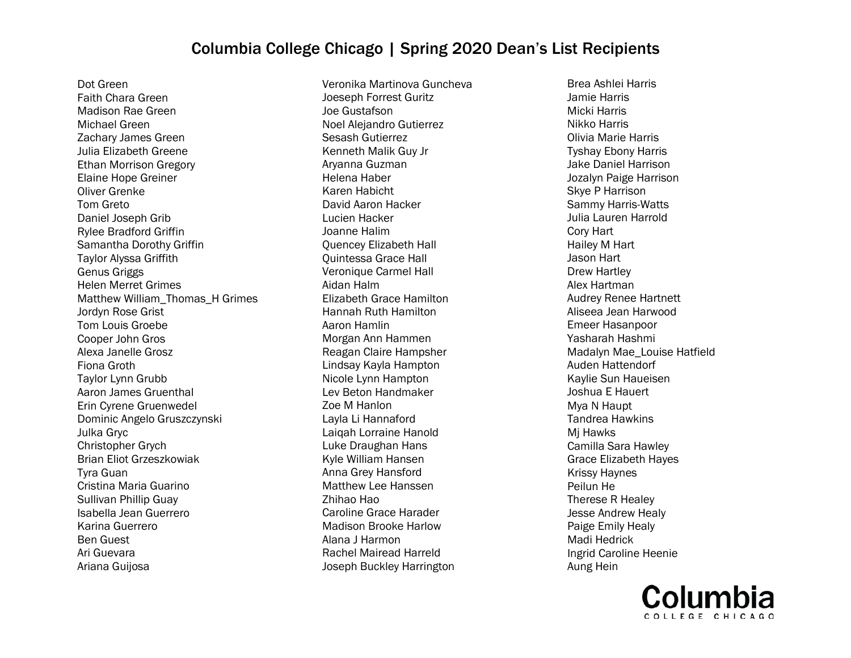Dot Green Faith Chara Green Madison Rae Green Michael Green Zachary James Green Julia Elizabeth Greene Ethan Morrison Gregory Elaine Hope Greiner Oliver Grenke Tom Greto Daniel Joseph Grib Rylee Bradford Griffin Samantha Dorothy Griffin Taylor Alyssa Griffith Genus Griggs Helen Merret Grimes Matthew William Thomas H Grimes Jordyn Rose Grist Tom Louis Groebe Cooper John Gros Alexa Janelle Grosz Fiona Groth Taylor Lynn Grubb Aaron James Gruenthal Erin Cyrene Gruenwedel Dominic Angelo Gruszczynski Julka Gryc Christopher Grych Brian Eliot Grzeszkowiak Tyra Guan Cristina Maria Guarino Sullivan Phillip Guay Isabella Jean Guerrero Karina Guerrero Ben Guest Ari Guevara Ariana Guijosa

Veronika Martinova Guncheva Joeseph Forrest Guritz Joe Gustafson Noel Alejandro Gutierrez Sesash Gutierrez Kenneth Malik Guy Jr Aryanna Guzman Helena Haber Karen Habicht David Aaron Hacker Lucien Hacker Joanne Halim Quencey Elizabeth Hall Quintessa Grace Hall Veronique Carmel Hall Aidan Halm Elizabeth Grace Hamilton Hannah Ruth Hamilton Aaron Hamlin Morgan Ann Hammen Reagan Claire Hampsher Lindsay Kayla Hampton Nicole Lynn Hampton Lev Beton Handmaker Zoe M Hanlon Layla Li Hannaford Laiqah Lorraine Hanold Luke Draughan Hans Kyle William Hansen Anna Grey Hansford Matthew Lee Hanssen Zhihao Hao Caroline Grace Harader Madison Brooke Harlow Alana J Harmon Rachel Mairead Harreld Joseph Buckley Harrington

Brea Ashlei Harris Jamie Harris Micki Harris Nikko Harris Olivia Marie Harris Tyshay Ebony Harris Jake Daniel Harrison Jozalyn Paige Harrison Skye P Harrison Sammy Harris-Watts Julia Lauren Harrold Cory Hart Hailey M Hart Jason Hart Drew Hartley Alex Hartman Audrey Renee Hartnett Aliseea Jean Harwood Emeer Hasanpoor Yasharah Hashmi Madalyn Mae\_Louise Hatfield Auden Hattendorf Kaylie Sun Haueisen Joshua E Hauert Mya N Haupt Tandrea Hawkins Mj Hawks Camilla Sara Hawley Grace Elizabeth Hayes Krissy Haynes Peilun He Therese R Healey Jesse Andrew Healy Paige Emily Healy Madi Hedrick Ingrid Caroline Heenie Aung Hein

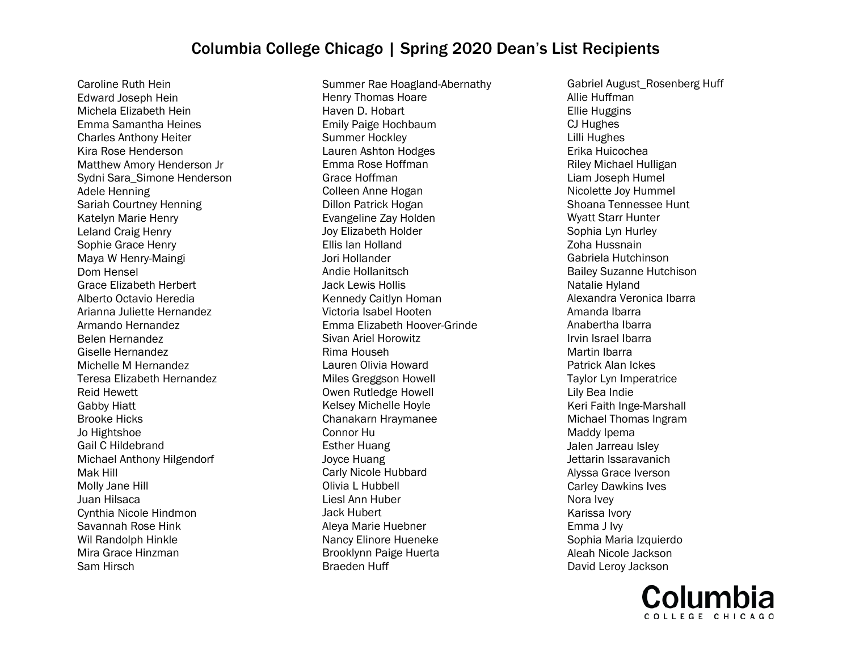Caroline Ruth Hein Edward Joseph Hein Michela Elizabeth Hein Emma Samantha Heines Charles Anthony Heiter Kira Rose Henderson Matthew Amory Henderson Jr Sydni Sara\_Simone Henderson Adele Henning Sariah Courtney Henning Katelyn Marie Henry Leland Craig Henry Sophie Grace Henry Maya W Henry-Maingi Dom Hensel Grace Elizabeth Herbert Alberto Octavio Heredia Arianna Juliette Hernandez Armando Hernandez Belen Hernandez Giselle Hernandez Michelle M Hernandez Teresa Elizabeth Hernandez Reid Hewett Gabby Hiatt Brooke Hicks Jo Hightshoe Gail C Hildebrand Michael Anthony Hilgendorf Mak Hill Molly Jane Hill Juan Hilsaca Cynthia Nicole Hindmon Savannah Rose Hink Wil Randolph Hinkle Mira Grace Hinzman Sam Hirsch

Summer Rae Hoagland-Abernathy Henry Thomas Hoare Haven D. Hobart Emily Paige Hochbaum Summer Hockley Lauren Ashton Hodges Emma Rose Hoffman Grace Hoffman Colleen Anne Hogan Dillon Patrick Hogan Evangeline Zay Holden Joy Elizabeth Holder Ellis Ian Holland Jori Hollander Andie Hollanitsch Jack Lewis Hollis Kennedy Caitlyn Homan Victoria Isabel Hooten Emma Elizabeth Hoover-Grinde Sivan Ariel Horowitz Rima Househ Lauren Olivia Howard Miles Greggson Howell Owen Rutledge Howell Kelsey Michelle Hoyle Chanakarn Hraymanee Connor Hu Esther Huang Joyce Huang Carly Nicole Hubbard Olivia L Hubbell Liesl Ann Huber Jack Hubert Aleya Marie Huebner Nancy Elinore Hueneke Brooklynn Paige Huerta Braeden Huff

Gabriel August\_Rosenberg Huff Allie Huffman Ellie Huggins CJ Hughes Lilli Hughes Erika Huicochea Riley Michael Hulligan Liam Joseph Humel Nicolette Joy Hummel Shoana Tennessee Hunt Wyatt Starr Hunter Sophia Lyn Hurley Zoha Hussnain Gabriela Hutchinson Bailey Suzanne Hutchison Natalie Hyland Alexandra Veronica Ibarra Amanda Ibarra Anabertha Ibarra Irvin Israel Ibarra Martin Ibarra Patrick Alan Ickes Taylor Lyn Imperatrice Lily Bea Indie Keri Faith Inge-Marshall Michael Thomas Ingram Maddy Ipema Jalen Jarreau Isley Jettarin Issaravanich Alyssa Grace Iverson Carley Dawkins Ives Nora Ivey Karissa Ivory Emma J Ivy Sophia Maria Izquierdo Aleah Nicole Jackson David Leroy Jackson

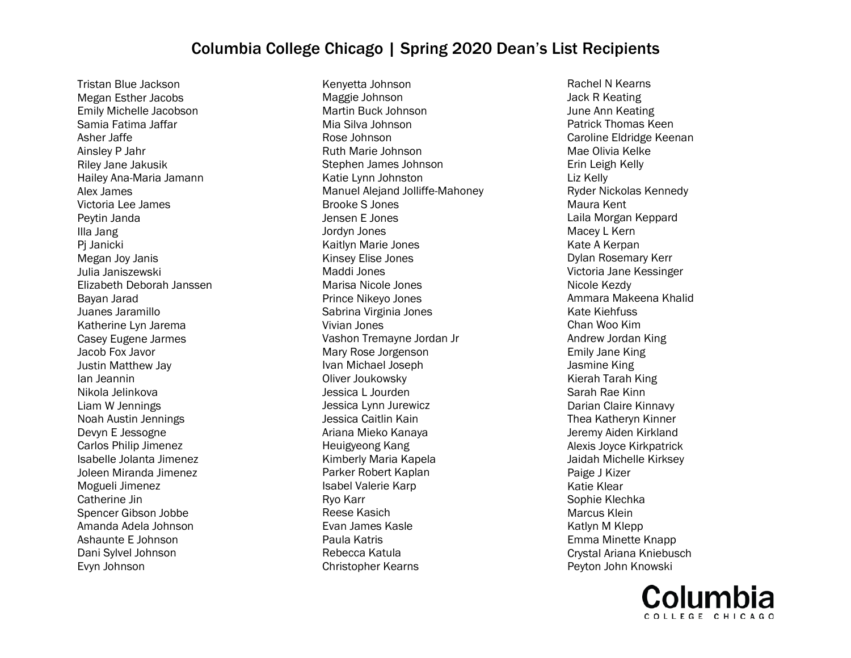Tristan Blue Jackson Megan Esther Jacobs Emily Michelle Jacobson Samia Fatima Jaffar Asher Jaffe Ainsley P Jahr Riley Jane Jakusik Hailey Ana-Maria Jamann Alex James Victoria Lee James Peytin Janda Illa Jang Pj Janicki Megan Joy Janis Julia Janiszewski Elizabeth Deborah Janssen Bayan Jarad Juanes Jaramillo Katherine Lyn Jarema Casey Eugene Jarmes Jacob Fox Javor Justin Matthew Jay Ian Jeannin Nikola Jelinkova Liam W Jennings Noah Austin Jennings Devyn E Jessogne Carlos Philip Jimenez Isabelle Jolanta Jimenez Joleen Miranda Jimenez Mogueli Jimenez Catherine Jin Spencer Gibson Jobbe Amanda Adela Johnson Ashaunte E Johnson Dani Sylvel Johnson Evyn Johnson

Kenyetta Johnson Maggie Johnson Martin Buck Johnson Mia Silva Johnson Rose Johnson Ruth Marie Johnson Stephen James Johnson Katie Lynn Johnston Manuel Alejand Jolliffe-Mahoney Brooke S Jones Jensen E Jones Jordyn Jones Kaitlyn Marie Jones Kinsey Elise Jones Maddi Jones Marisa Nicole Jones Prince Nikeyo Jones Sabrina Virginia Jones Vivian Jones Vashon Tremayne Jordan Jr Mary Rose Jorgenson Ivan Michael Joseph Oliver Joukowsky Jessica L Jourden Jessica Lynn Jurewicz Jessica Caitlin Kain Ariana Mieko Kanaya Heuigyeong Kang Kimberly Maria Kapela Parker Robert Kaplan Isabel Valerie Karp Ryo Karr Reese Kasich Evan James Kasle Paula Katris Rebecca Katula Christopher Kearns

Rachel N Kearns Jack R Keating June Ann Keating Patrick Thomas Keen Caroline Eldridge Keenan Mae Olivia Kelke Erin Leigh Kelly Liz Kelly Ryder Nickolas Kennedy Maura Kent Laila Morgan Keppard Macey L Kern Kate A Kerpan Dylan Rosemary Kerr Victoria Jane Kessinger Nicole Kezdy Ammara Makeena Khalid Kate Kiehfuss Chan Woo Kim Andrew Jordan King Emily Jane King Jasmine King Kierah Tarah King Sarah Rae Kinn Darian Claire Kinnavy Thea Katheryn Kinner Jeremy Aiden Kirkland Alexis Joyce Kirkpatrick Jaidah Michelle Kirksey Paige J Kizer Katie Klear Sophie Klechka Marcus Klein Katlyn M Klepp Emma Minette Knapp Crystal Ariana Kniebusch Peyton John Knowski

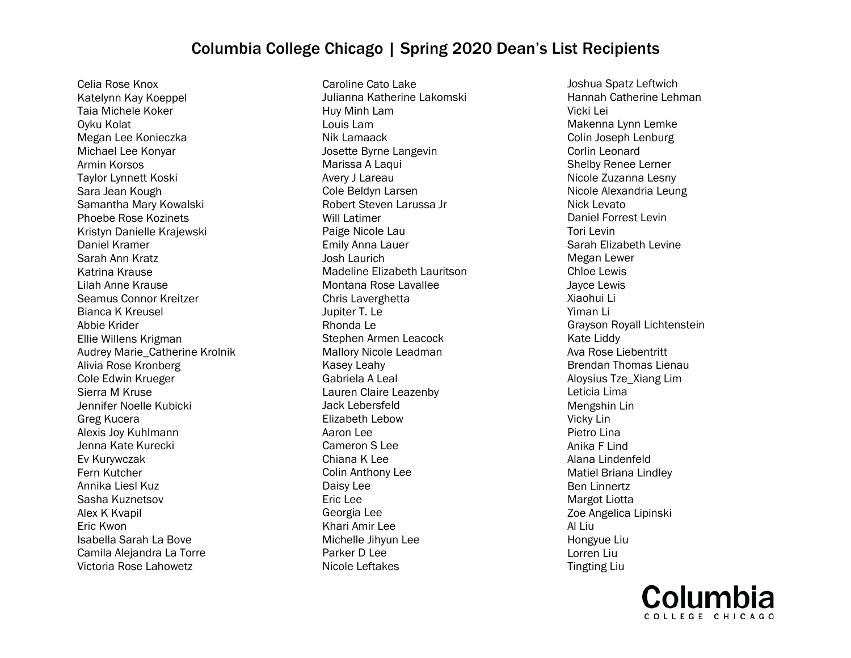Celia Rose Knox Katelynn Kay Koeppel Taia Michele Koker Oyku Kolat Megan Lee Konieczka Michael Lee Konyar Armin Korsos Taylor Lynnett Koski Sara Jean Kough Samantha Mary Kowalski Phoebe Rose Kozinets Kristyn Danielle Krajewski Daniel Kramer Sarah Ann Kratz Katrina Krause Lilah Anne Krause Seamus Connor Kreitzer Bianca K Kreusel Abbie Krider Ellie Willens Krigman Audrey Marie\_Catherine Krolnik Alivia Rose Kronberg Cole Edwin Krueger Sierra M Kruse Jennifer Noelle Kubicki Greg Kucera Alexis Joy Kuhlmann Jenna Kate Kurecki Ev Kurywczak Fern Kutcher Annika Liesl Kuz Sasha Kuznetsov Alex K Kvapil Eric Kwon Isabella Sarah La Bove Camila Alejandra La Torre Victoria Rose Lahowetz

Caroline Cato Lake Julianna Katherine Lakomski Huy Minh Lam Louis Lam Nik Lamaack Josette Byrne Langevin Marissa A Laqui Avery J Lareau Cole Beldyn Larsen Robert Steven Larussa Jr Will Latimer Paige Nicole Lau Emily Anna Lauer Josh Laurich Madeline Elizabeth Lauritson Montana Rose Lavallee Chris Laverghetta Jupiter T. Le Rhonda Le Stephen Armen Leacock Mallory Nicole Leadman Kasey Leahy Gabriela A Leal Lauren Claire Leazenby Jack Lebersfeld Elizabeth Lebow Aaron Lee Cameron S Lee Chiana K Lee Colin Anthony Lee Daisy Lee Eric Lee Georgia Lee Khari Amir Lee Michelle Jihyun Lee Parker D Lee Nicole Leftakes

Joshua Spatz Leftwich Hannah Catherine Lehman Vicki Lei Makenna Lynn Lemke Colin Joseph Lenburg Corlin Leonard Shelby Renee Lerner Nicole Zuzanna Lesny Nicole Alexandria Leung Nick Levato Daniel Forrest Levin Tori Levin Sarah Elizabeth Levine Megan Lewer Chloe Lewis Jayce Lewis Xiaohui Li Yiman Li Grayson Royall Lichtenstein Kate Liddy Ava Rose Liebentritt Brendan Thomas Lienau Aloysius Tze\_Xiang Lim Leticia Lima Mengshin Lin Vicky Lin Pietro Lina Anika F Lind Alana Lindenfeld Matiel Briana Lindley Ben Linnertz Margot Liotta Zoe Angelica Lipinski Al Liu Hongyue Liu Lorren Liu Tingting Liu

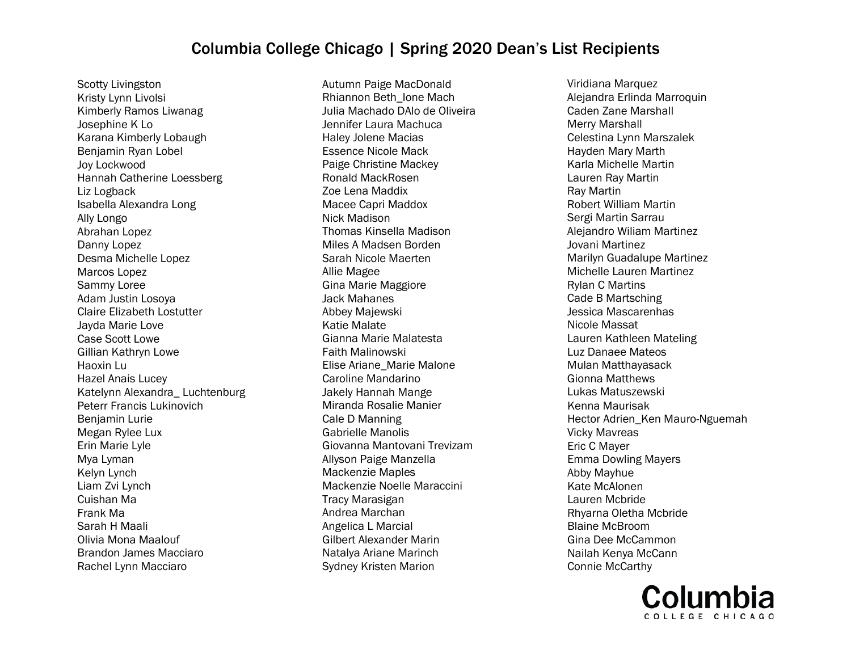Scotty Livingston Kristy Lynn Livolsi Kimberly Ramos Liwanag Josephine K Lo Karana Kimberly Lobaugh Benjamin Ryan Lobel Joy Lockwood Hannah Catherine Loessberg Liz Logback Isabella Alexandra Long Ally Longo Abrahan Lopez Danny Lopez Desma Michelle Lopez Marcos Lopez Sammy Loree Adam Justin Losoya Claire Elizabeth Lostutter Jayda Marie Love Case Scott Lowe Gillian Kathryn Lowe Haoxin Lu Hazel Anais Lucey Katelynn Alexandra\_ Luchtenburg Peterr Francis Lukinovich Benjamin Lurie Megan Rylee Lux Erin Marie Lyle Mya Lyman Kelyn Lynch Liam Zvi Lynch Cuishan Ma Frank Ma Sarah H Maali Olivia Mona Maalouf Brandon James Macciaro Rachel Lynn Macciaro

Autumn Paige MacDonald Rhiannon Beth\_Ione Mach Julia Machado DAlo de Oliveira Jennifer Laura Machuca Haley Jolene Macias Essence Nicole Mack Paige Christine Mackey Ronald MackRosen Zoe Lena Maddix Macee Capri Maddox Nick Madison Thomas Kinsella Madison Miles A Madsen Borden Sarah Nicole Maerten Allie Magee Gina Marie Maggiore Jack Mahanes Abbey Majewski Katie Malate Gianna Marie Malatesta Faith Malinowski Elise Ariane\_Marie Malone Caroline Mandarino Jakely Hannah Mange Miranda Rosalie Manier Cale D Manning Gabrielle Manolis Giovanna Mantovani Trevizam Allyson Paige Manzella Mackenzie Maples Mackenzie Noelle Maraccini Tracy Marasigan Andrea Marchan Angelica L Marcial Gilbert Alexander Marin Natalya Ariane Marinch Sydney Kristen Marion

Viridiana Marquez Alejandra Erlinda Marroquin Caden Zane Marshall Merry Marshall Celestina Lynn Marszalek Hayden Mary Marth Karla Michelle Martin Lauren Ray Martin Ray Martin Robert William Martin Sergi Martin Sarrau Alejandro Wiliam Martinez Jovani Martinez Marilyn Guadalupe Martinez Michelle Lauren Martinez Rylan C Martins Cade B Martsching Jessica Mascarenhas Nicole Massat Lauren Kathleen Mateling Luz Danaee Mateos Mulan Matthayasack Gionna Matthews Lukas Matuszewski Kenna Maurisak Hector Adrien\_Ken Mauro-Nguemah Vicky Mavreas Eric C Mayer Emma Dowling Mayers Abby Mayhue Kate McAlonen Lauren Mcbride Rhyarna Oletha Mcbride Blaine McBroom Gina Dee McCammon Nailah Kenya McCann Connie McCarthy

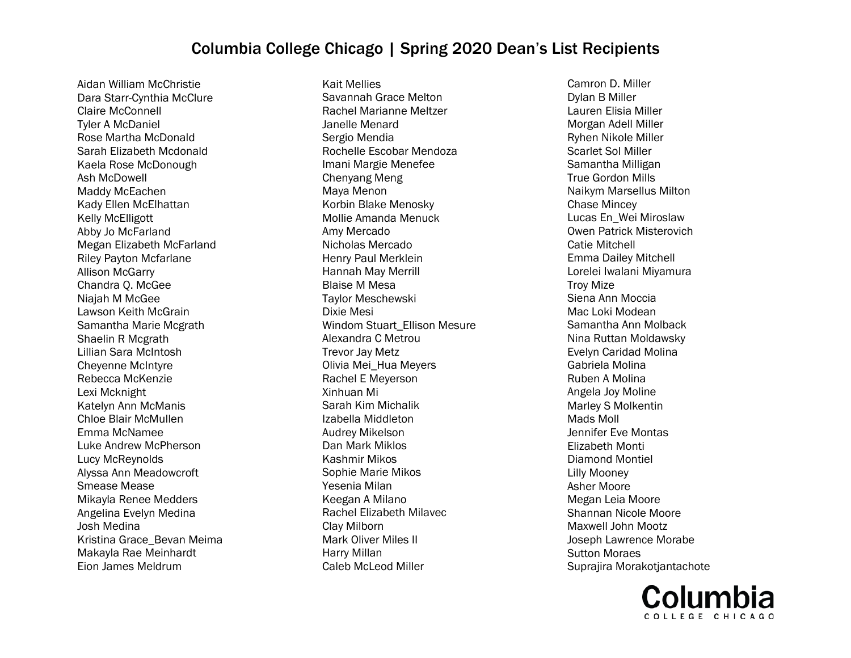Aidan William McChristie Dara Starr-Cynthia McClure Claire McConnell Tyler A McDaniel Rose Martha McDonald Sarah Elizabeth Mcdonald Kaela Rose McDonough Ash McDowell Maddy McEachen Kady Ellen McElhattan Kelly McElligott Abby Jo McFarland Megan Elizabeth McFarland Riley Payton Mcfarlane Allison McGarry Chandra Q. McGee Niajah M McGee Lawson Keith McGrain Samantha Marie Mcgrath Shaelin R Mcgrath Lillian Sara McIntosh Cheyenne McIntyre Rebecca McKenzie Lexi Mcknight Katelyn Ann McManis Chloe Blair McMullen Emma McNamee Luke Andrew McPherson Lucy McReynolds Alyssa Ann Meadowcroft Smease Mease Mikayla Renee Medders Angelina Evelyn Medina Josh Medina Kristina Grace\_Bevan Meima Makayla Rae Meinhardt Eion James Meldrum

Kait Mellies Savannah Grace Melton Rachel Marianne Meltzer Janelle Menard Sergio Mendia Rochelle Escobar Mendoza Imani Margie Menefee Chenyang Meng Maya Menon Korbin Blake Menosky Mollie Amanda Menuck Amy Mercado Nicholas Mercado Henry Paul Merklein Hannah May Merrill Blaise M Mesa Taylor Meschewski Dixie Mesi Windom Stuart\_Ellison Mesure Alexandra C Metrou Trevor Jay Metz Olivia Mei\_Hua Meyers Rachel E Meyerson Xinhuan Mi Sarah Kim Michalik Izabella Middleton Audrey Mikelson Dan Mark Miklos Kashmir Mikos Sophie Marie Mikos Yesenia Milan Keegan A Milano Rachel Elizabeth Milavec Clay Milborn Mark Oliver Miles II Harry Millan Caleb McLeod Miller

Camron D. Miller Dylan B Miller Lauren Elisia Miller Morgan Adell Miller Ryhen Nikole Miller Scarlet Sol Miller Samantha Milligan True Gordon Mills Naikym Marsellus Milton Chase Mincey Lucas En\_Wei Miroslaw Owen Patrick Misterovich Catie Mitchell Emma Dailey Mitchell Lorelei Iwalani Miyamura Troy Mize Siena Ann Moccia Mac Loki Modean Samantha Ann Molback Nina Ruttan Moldawsky Evelyn Caridad Molina Gabriela Molina Ruben A Molina Angela Joy Moline Marley S Molkentin Mads Moll Jennifer Eve Montas Elizabeth Monti Diamond Montiel Lilly Mooney Asher Moore Megan Leia Moore Shannan Nicole Moore Maxwell John Mootz Joseph Lawrence Morabe Sutton Moraes Suprajira Morakotjantachote

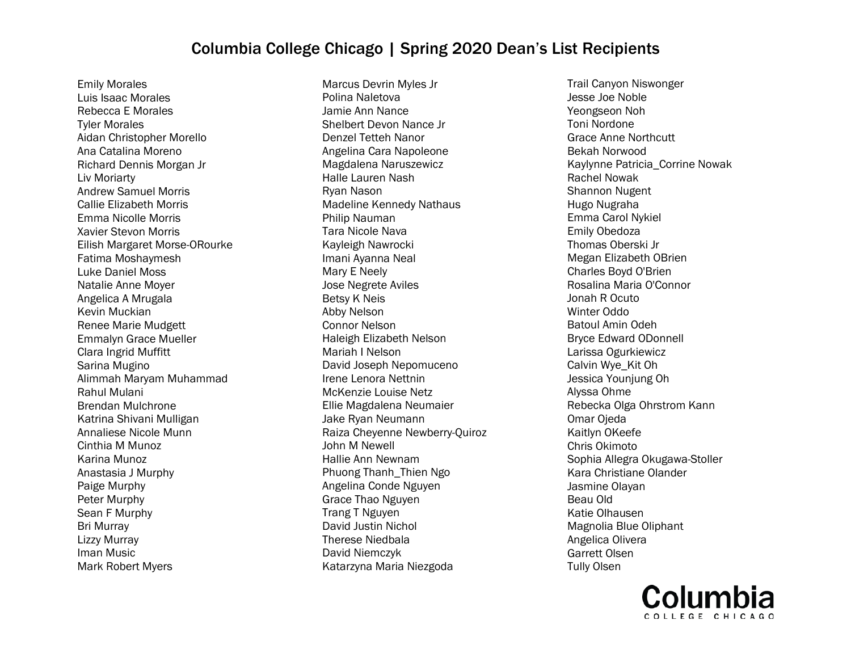Emily Morales Luis Isaac Morales Rebecca E Morales Tyler Morales Aidan Christopher Morello Ana Catalina Moreno Richard Dennis Morgan Jr Liv Moriarty Andrew Samuel Morris Callie Elizabeth Morris Emma Nicolle Morris Xavier Stevon Morris Eilish Margaret Morse-ORourke Fatima Moshaymesh Luke Daniel Moss Natalie Anne Moyer Angelica A Mrugala Kevin Muckian Renee Marie Mudgett Emmalyn Grace Mueller Clara Ingrid Muffitt Sarina Mugino Alimmah Maryam Muhammad Rahul Mulani Brendan Mulchrone Katrina Shivani Mulligan Annaliese Nicole Munn Cinthia M Munoz Karina Munoz Anastasia J Murphy Paige Murphy Peter Murphy Sean F Murphy Bri Murray Lizzy Murray Iman Music Mark Robert Myers

Marcus Devrin Myles Jr Polina Naletova Jamie Ann Nance Shelbert Devon Nance Jr Denzel Tetteh Nanor Angelina Cara Napoleone Magdalena Naruszewicz Halle Lauren Nash Ryan Nason Madeline Kennedy Nathaus Philip Nauman Tara Nicole Nava Kayleigh Nawrocki Imani Ayanna Neal Mary E Neely Jose Negrete Aviles Betsy K Neis Abby Nelson Connor Nelson Haleigh Elizabeth Nelson Mariah I Nelson David Joseph Nepomuceno Irene Lenora Nettnin McKenzie Louise Netz Ellie Magdalena Neumaier Jake Ryan Neumann Raiza Cheyenne Newberry-Quiroz John M Newell Hallie Ann Newnam Phuong Thanh\_Thien Ngo Angelina Conde Nguyen Grace Thao Nguyen Trang T Nguyen David Justin Nichol Therese Niedbala David Niemczyk Katarzyna Maria Niezgoda

Trail Canyon Niswonger Jesse Joe Noble Yeongseon Noh Toni Nordone Grace Anne Northcutt Bekah Norwood Kaylynne Patricia\_Corrine Nowak Rachel Nowak Shannon Nugent Hugo Nugraha Emma Carol Nykiel Emily Obedoza Thomas Oberski Jr Megan Elizabeth OBrien Charles Boyd O'Brien Rosalina Maria O'Connor Jonah R Ocuto Winter Oddo Batoul Amin Odeh Bryce Edward ODonnell Larissa Ogurkiewicz Calvin Wye\_Kit Oh Jessica Younjung Oh Alyssa Ohme Rebecka Olga Ohrstrom Kann Omar Ojeda Kaitlyn OKeefe Chris Okimoto Sophia Allegra Okugawa-Stoller Kara Christiane Olander Jasmine Olayan Beau Old Katie Olhausen Magnolia Blue Oliphant Angelica Olivera Garrett Olsen Tully Olsen

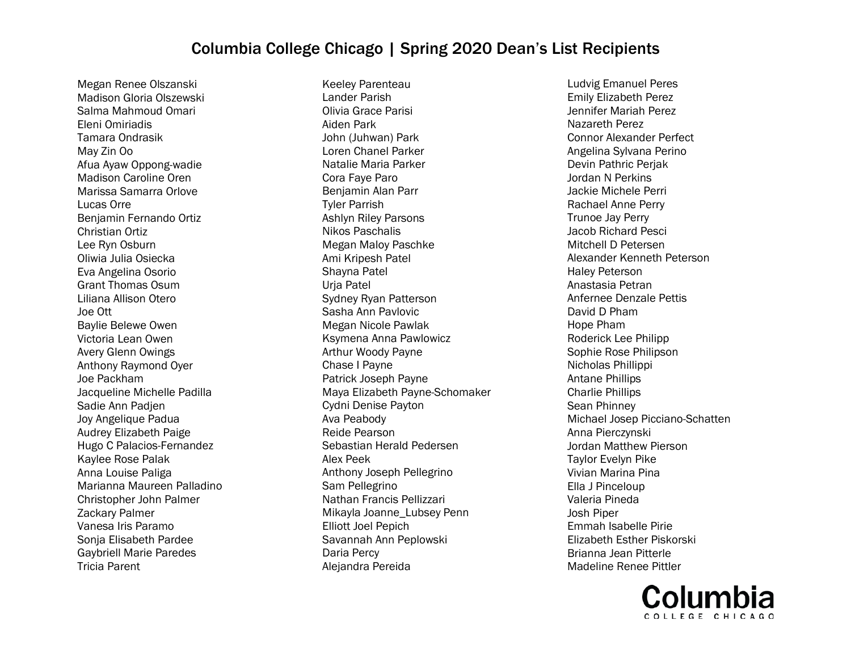Megan Renee Olszanski Madison Gloria Olszewski Salma Mahmoud Omari Eleni Omiriadis Tamara Ondrasik May Zin Oo Afua Ayaw Oppong-wadie Madison Caroline Oren Marissa Samarra Orlove Lucas Orre Benjamin Fernando Ortiz Christian Ortiz Lee Ryn Osburn Oliwia Julia Osiecka Eva Angelina Osorio Grant Thomas Osum Liliana Allison Otero Joe Ott Baylie Belewe Owen Victoria Lean Owen Avery Glenn Owings Anthony Raymond Oyer Joe Packham Jacqueline Michelle Padilla Sadie Ann Padjen Joy Angelique Padua Audrey Elizabeth Paige Hugo C Palacios-Fernandez Kaylee Rose Palak Anna Louise Paliga Marianna Maureen Palladino Christopher John Palmer Zackary Palmer Vanesa Iris Paramo Sonja Elisabeth Pardee Gaybriell Marie Paredes Tricia Parent

Keeley Parenteau Lander Parish Olivia Grace Parisi Aiden Park John (Juhwan) Park Loren Chanel Parker Natalie Maria Parker Cora Faye Paro Benjamin Alan Parr Tyler Parrish Ashlyn Riley Parsons Nikos Paschalis Megan Maloy Paschke Ami Kripesh Patel Shayna Patel Urja Patel Sydney Ryan Patterson Sasha Ann Pavlovic Megan Nicole Pawlak Ksymena Anna Pawlowicz Arthur Woody Payne Chase I Payne Patrick Joseph Payne Maya Elizabeth Payne-Schomaker Cydni Denise Payton Ava Peabody Reide Pearson Sebastian Herald Pedersen Alex Peek Anthony Joseph Pellegrino Sam Pellegrino Nathan Francis Pellizzari Mikayla Joanne\_Lubsey Penn Elliott Joel Pepich Savannah Ann Peplowski Daria Percy Alejandra Pereida

Ludvig Emanuel Peres Emily Elizabeth Perez Jennifer Mariah Perez Nazareth Perez Connor Alexander Perfect Angelina Sylvana Perino Devin Pathric Perjak Jordan N Perkins Jackie Michele Perri Rachael Anne Perry Trunoe Jay Perry Jacob Richard Pesci Mitchell D Petersen Alexander Kenneth Peterson Haley Peterson Anastasia Petran Anfernee Denzale Pettis David D Pham Hope Pham Roderick Lee Philipp Sophie Rose Philipson Nicholas Phillippi Antane Phillips Charlie Phillips Sean Phinney Michael Josep Picciano-Schatten Anna Pierczynski Jordan Matthew Pierson Taylor Evelyn Pike Vivian Marina Pina Ella J Pinceloup Valeria Pineda Josh Piper Emmah Isabelle Pirie Elizabeth Esther Piskorski Brianna Jean Pitterle Madeline Renee Pittler

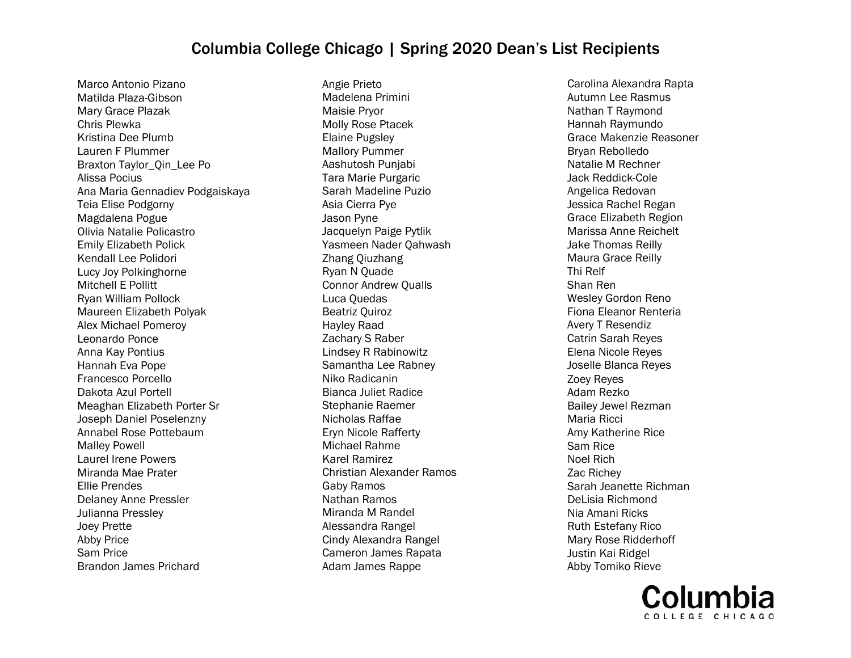Marco Antonio Pizano Matilda Plaza-Gibson Mary Grace Plazak Chris Plewka Kristina Dee Plumb Lauren F Plummer Braxton Taylor\_Qin\_Lee Po Alissa Pocius Ana Maria Gennadiev Podgaiskaya Teia Elise Podgorny Magdalena Pogue Olivia Natalie Policastro Emily Elizabeth Polick Kendall Lee Polidori Lucy Joy Polkinghorne Mitchell E Pollitt Ryan William Pollock Maureen Elizabeth Polyak Alex Michael Pomeroy Leonardo Ponce Anna Kay Pontius Hannah Eva Pope Francesco Porcello Dakota Azul Portell Meaghan Elizabeth Porter Sr Joseph Daniel Poselenzny Annabel Rose Pottebaum Malley Powell Laurel Irene Powers Miranda Mae Prater Ellie Prendes Delaney Anne Pressler Julianna Pressley Joey Prette Abby Price Sam Price Brandon James Prichard

Angie Prieto Madelena Primini Maisie Pryor Molly Rose Ptacek Elaine Pugsley Mallory Pummer Aashutosh Punjabi Tara Marie Purgaric Sarah Madeline Puzio Asia Cierra Pye Jason Pyne Jacquelyn Paige Pytlik Yasmeen Nader Qahwash Zhang Qiuzhang Ryan N Quade Connor Andrew Qualls Luca Quedas Beatriz Quiroz Hayley Raad Zachary S Raber Lindsey R Rabinowitz Samantha Lee Rabney Niko Radicanin Bianca Juliet Radice Stephanie Raemer Nicholas Raffae Eryn Nicole Rafferty Michael Rahme Karel Ramirez Christian Alexander Ramos Gaby Ramos Nathan Ramos Miranda M Randel Alessandra Rangel Cindy Alexandra Rangel Cameron James Rapata Adam James Rappe

Carolina Alexandra Rapta Autumn Lee Rasmus Nathan T Raymond Hannah Raymundo Grace Makenzie Reasoner Bryan Rebolledo Natalie M Rechner Jack Reddick-Cole Angelica Redovan Jessica Rachel Regan Grace Elizabeth Region Marissa Anne Reichelt Jake Thomas Reilly Maura Grace Reilly Thi Relf Shan Ren Wesley Gordon Reno Fiona Eleanor Renteria Avery T Resendiz Catrin Sarah Reyes Elena Nicole Reyes Joselle Blanca Reyes Zoey Reyes Adam Rezko Bailey Jewel Rezman Maria Ricci Amy Katherine Rice Sam Rice Noel Rich Zac Richey Sarah Jeanette Richman DeLisia Richmond Nia Amani Ricks Ruth Estefany Rico Mary Rose Ridderhoff Justin Kai Ridgel Abby Tomiko Rieve

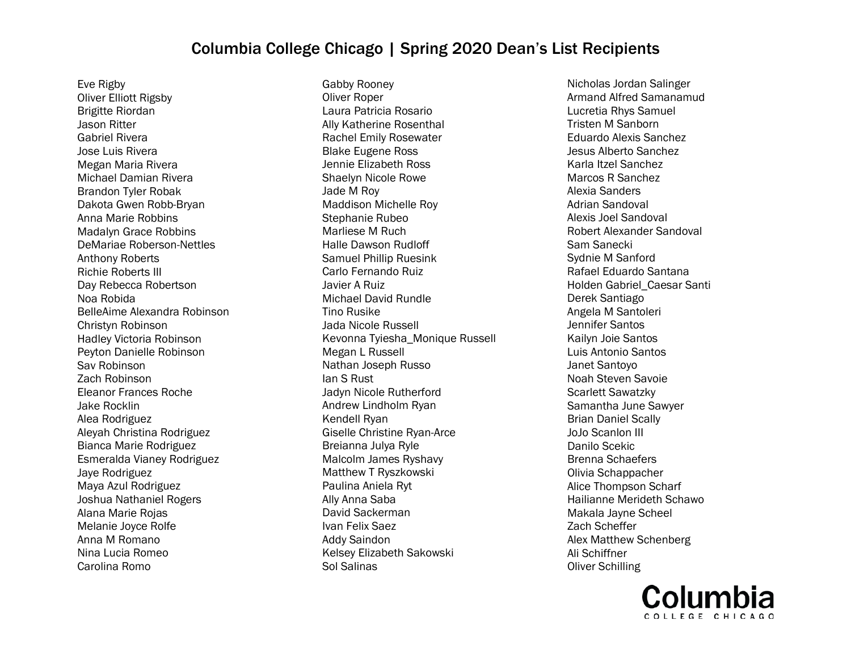Eve Rigby Oliver Elliott Rigsby Brigitte Riordan Jason Ritter Gabriel Rivera Jose Luis Rivera Megan Maria Rivera Michael Damian Rivera Brandon Tyler Robak Dakota Gwen Robb-Bryan Anna Marie Robbins Madalyn Grace Robbins DeMariae Roberson-Nettles Anthony Roberts Richie Roberts III Day Rebecca Robertson Noa Robida BelleAime Alexandra Robinson Christyn Robinson Hadley Victoria Robinson Peyton Danielle Robinson Sav Robinson Zach Robinson Eleanor Frances Roche Jake Rocklin Alea Rodriguez Aleyah Christina Rodriguez Bianca Marie Rodriguez Esmeralda Vianey Rodriguez Jaye Rodriguez Maya Azul Rodriguez Joshua Nathaniel Rogers Alana Marie Rojas Melanie Joyce Rolfe Anna M Romano Nina Lucia Romeo Carolina Romo

Gabby Rooney Oliver Roper Laura Patricia Rosario Ally Katherine Rosenthal Rachel Emily Rosewater Blake Eugene Ross Jennie Elizabeth Ross Shaelyn Nicole Rowe Jade M Roy Maddison Michelle Roy Stephanie Rubeo Marliese M Ruch Halle Dawson Rudloff Samuel Phillip Ruesink Carlo Fernando Ruiz Javier A Ruiz Michael David Rundle Tino Rusike Jada Nicole Russell Kevonna Tyiesha\_Monique Russell Megan L Russell Nathan Joseph Russo Ian S Rust Jadyn Nicole Rutherford Andrew Lindholm Ryan Kendell Ryan Giselle Christine Ryan-Arce Breianna Julya Ryle Malcolm James Ryshavy Matthew T Ryszkowski Paulina Aniela Ryt Ally Anna Saba David Sackerman Ivan Felix Saez Addy Saindon Kelsey Elizabeth Sakowski Sol Salinas

Nicholas Jordan Salinger Armand Alfred Samanamud Lucretia Rhys Samuel Tristen M Sanborn Eduardo Alexis Sanchez Jesus Alberto Sanchez Karla Itzel Sanchez Marcos R Sanchez Alexia Sanders Adrian Sandoval Alexis Joel Sandoval Robert Alexander Sandoval Sam Sanecki Sydnie M Sanford Rafael Eduardo Santana Holden Gabriel\_Caesar Santi Derek Santiago Angela M Santoleri Jennifer Santos Kailyn Joie Santos Luis Antonio Santos Janet Santoyo Noah Steven Savoie Scarlett Sawatzky Samantha June Sawyer Brian Daniel Scally JoJo Scanlon III Danilo Scekic Brenna Schaefers Olivia Schappacher Alice Thompson Scharf Hailianne Merideth Schawo Makala Jayne Scheel Zach Scheffer Alex Matthew Schenberg Ali Schiffner Oliver Schilling

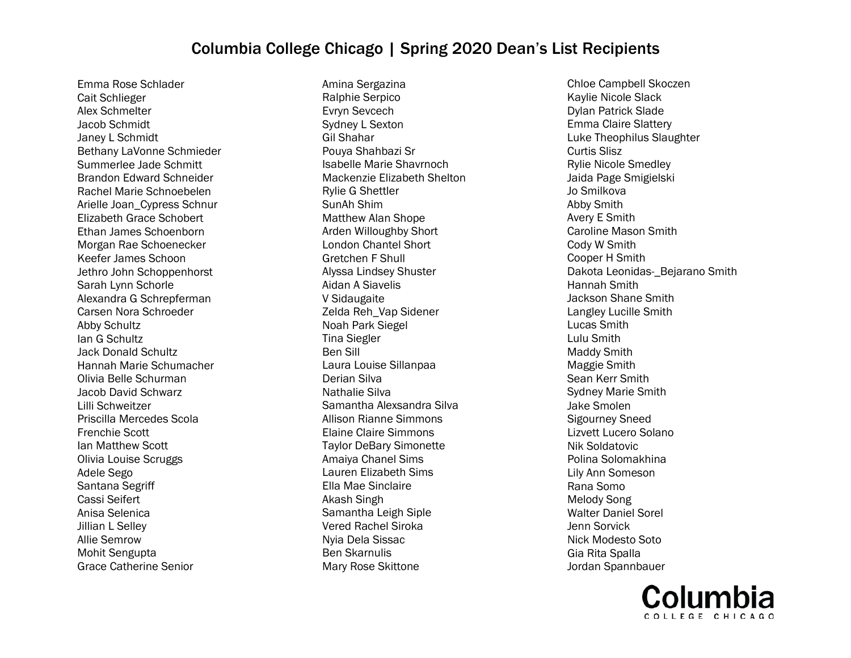Emma Rose Schlader Cait Schlieger Alex Schmelter Jacob Schmidt Janey L Schmidt Bethany LaVonne Schmieder Summerlee Jade Schmitt Brandon Edward Schneider Rachel Marie Schnoebelen Arielle Joan\_Cypress Schnur Elizabeth Grace Schobert Ethan James Schoenborn Morgan Rae Schoenecker Keefer James Schoon Jethro John Schoppenhorst Sarah Lynn Schorle Alexandra G Schrepferman Carsen Nora Schroeder Abby Schultz Ian G Schultz Jack Donald Schultz Hannah Marie Schumacher Olivia Belle Schurman Jacob David Schwarz Lilli Schweitzer Priscilla Mercedes Scola Frenchie Scott Ian Matthew Scott Olivia Louise Scruggs Adele Sego Santana Segriff Cassi Seifert Anisa Selenica Jillian L Selley Allie Semrow Mohit Sengupta Grace Catherine Senior

Amina Sergazina Ralphie Serpico Evryn Sevcech Sydney L Sexton Gil Shahar Pouya Shahbazi Sr Isabelle Marie Shavrnoch Mackenzie Elizabeth Shelton Rylie G Shettler SunAh Shim Matthew Alan Shope Arden Willoughby Short London Chantel Short Gretchen F Shull Alyssa Lindsey Shuster Aidan A Siavelis V Sidaugaite Zelda Reh\_Vap Sidener Noah Park Siegel Tina Siegler Ben Sill Laura Louise Sillanpaa Derian Silva Nathalie Silva Samantha Alexsandra Silva Allison Rianne Simmons Elaine Claire Simmons Taylor DeBary Simonette Amaiya Chanel Sims Lauren Elizabeth Sims Ella Mae Sinclaire Akash Singh Samantha Leigh Siple Vered Rachel Siroka Nyia Dela Sissac Ben Skarnulis Mary Rose Skittone

Chloe Campbell Skoczen Kaylie Nicole Slack Dylan Patrick Slade Emma Claire Slattery Luke Theophilus Slaughter Curtis Slisz Rylie Nicole Smedley Jaida Page Smigielski Jo Smilkova Abby Smith Avery E Smith Caroline Mason Smith Cody W Smith Cooper H Smith Dakota Leonidas-\_Bejarano Smith Hannah Smith Jackson Shane Smith Langley Lucille Smith Lucas Smith Lulu Smith Maddy Smith Maggie Smith Sean Kerr Smith Sydney Marie Smith Jake Smolen Sigourney Sneed Lizvett Lucero Solano Nik Soldatovic Polina Solomakhina Lily Ann Someson Rana Somo Melody Song Walter Daniel Sorel Jenn Sorvick Nick Modesto Soto Gia Rita Spalla Jordan Spannbauer

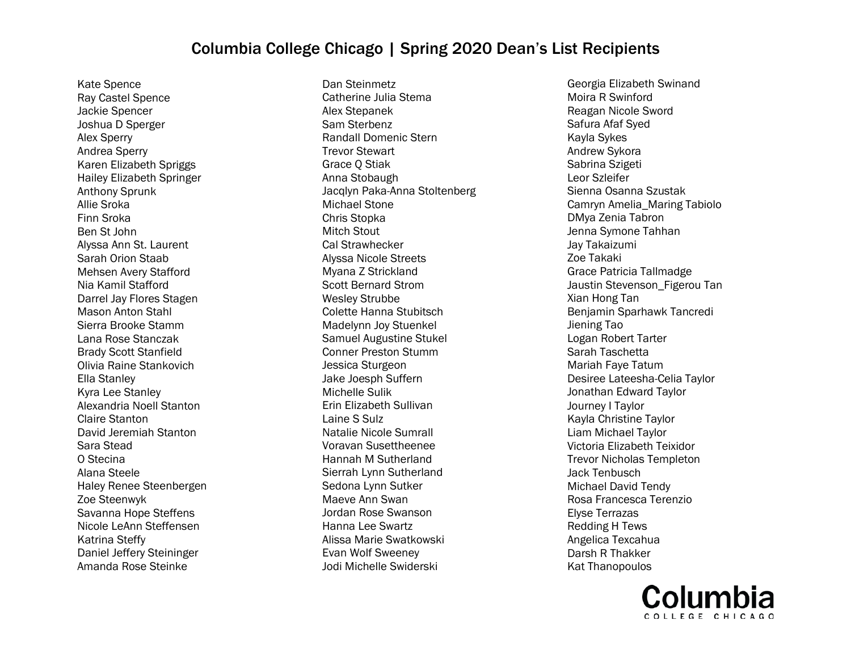Kate Spence Ray Castel Spence Jackie Spencer Joshua D Sperger Alex Sperry Andrea Sperry Karen Elizabeth Spriggs Hailey Elizabeth Springer Anthony Sprunk Allie Sroka Finn Sroka Ben St John Alyssa Ann St. Laurent Sarah Orion Staab Mehsen Avery Stafford Nia Kamil Stafford Darrel Jay Flores Stagen Mason Anton Stahl Sierra Brooke Stamm Lana Rose Stanczak Brady Scott Stanfield Olivia Raine Stankovich Ella Stanley Kyra Lee Stanley Alexandria Noell Stanton Claire Stanton David Jeremiah Stanton Sara Stead O Stecina Alana Steele Haley Renee Steenbergen Zoe Steenwyk Savanna Hope Steffens Nicole LeAnn Steffensen Katrina Steffy Daniel Jeffery Steininger Amanda Rose Steinke

Dan Steinmetz Catherine Julia Stema Alex Stepanek Sam Sterbenz Randall Domenic Stern Trevor Stewart Grace Q Stiak Anna Stobaugh Jacqlyn Paka-Anna Stoltenberg Michael Stone Chris Stopka Mitch Stout Cal Strawhecker Alyssa Nicole Streets Myana Z Strickland Scott Bernard Strom Wesley Strubbe Colette Hanna Stubitsch Madelynn Joy Stuenkel Samuel Augustine Stukel Conner Preston Stumm Jessica Sturgeon Jake Joesph Suffern Michelle Sulik Erin Elizabeth Sullivan Laine S Sulz Natalie Nicole Sumrall Voravan Susettheenee Hannah M Sutherland Sierrah Lynn Sutherland Sedona Lynn Sutker Maeve Ann Swan Jordan Rose Swanson Hanna Lee Swartz Alissa Marie Swatkowski Evan Wolf Sweeney Jodi Michelle Swiderski

Georgia Elizabeth Swinand Moira R Swinford Reagan Nicole Sword Safura Afaf Syed Kayla Sykes Andrew Sykora Sabrina Szigeti Leor Szleifer Sienna Osanna Szustak Camryn Amelia\_Maring Tabiolo DMya Zenia Tabron Jenna Symone Tahhan Jay Takaizumi Zoe Takaki Grace Patricia Tallmadge Jaustin Stevenson Figerou Tan Xian Hong Tan Benjamin Sparhawk Tancredi Jiening Tao Logan Robert Tarter Sarah Taschetta Mariah Faye Tatum Desiree Lateesha-Celia Taylor Jonathan Edward Taylor Journey I Taylor Kayla Christine Taylor Liam Michael Taylor Victoria Elizabeth Teixidor Trevor Nicholas Templeton Jack Tenbusch Michael David Tendy Rosa Francesca Terenzio Elyse Terrazas Redding H Tews Angelica Texcahua Darsh R Thakker Kat Thanopoulos

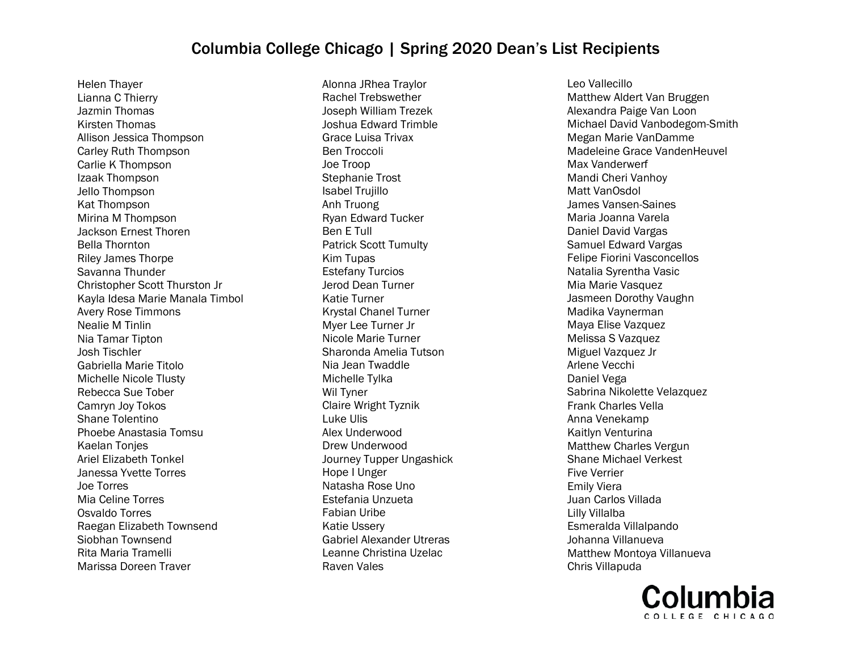Helen Thayer Lianna C Thierry Jazmin Thomas Kirsten Thomas Allison Jessica Thompson Carley Ruth Thompson Carlie K Thompson Izaak Thompson Jello Thompson Kat Thompson Mirina M Thompson Jackson Ernest Thoren Bella Thornton Riley James Thorpe Savanna Thunder Christopher Scott Thurston Jr Kayla Idesa Marie Manala Timbol Avery Rose Timmons Nealie M Tinlin Nia Tamar Tipton Josh Tischler Gabriella Marie Titolo Michelle Nicole Tlusty Rebecca Sue Tober Camryn Joy Tokos Shane Tolentino Phoebe Anastasia Tomsu Kaelan Tonjes Ariel Elizabeth Tonkel Janessa Yvette Torres Joe Torres Mia Celine Torres Osvaldo Torres Raegan Elizabeth Townsend Siobhan Townsend Rita Maria Tramelli Marissa Doreen Traver

Alonna JRhea Traylor Rachel Trebswether Joseph William Trezek Joshua Edward Trimble Grace Luisa Trivax Ben Troccoli Joe Troop Stephanie Trost Isabel Trujillo Anh Truong Ryan Edward Tucker Ben E Tull Patrick Scott Tumulty Kim Tupas Estefany Turcios Jerod Dean Turner Katie Turner Krystal Chanel Turner Myer Lee Turner Jr Nicole Marie Turner Sharonda Amelia Tutson Nia Jean Twaddle Michelle Tylka Wil Tyner Claire Wright Tyznik Luke Ulis Alex Underwood Drew Underwood Journey Tupper Ungashick Hope I Unger Natasha Rose Uno Estefania Unzueta Fabian Uribe Katie Ussery Gabriel Alexander Utreras Leanne Christina Uzelac Raven Vales

Leo Vallecillo Matthew Aldert Van Bruggen Alexandra Paige Van Loon Michael David Vanbodegom-Smith Megan Marie VanDamme Madeleine Grace VandenHeuvel Max Vanderwerf Mandi Cheri Vanhoy Matt VanOsdol James Vansen-Saines Maria Joanna Varela Daniel David Vargas Samuel Edward Vargas Felipe Fiorini Vasconcellos Natalia Syrentha Vasic Mia Marie Vasquez Jasmeen Dorothy Vaughn Madika Vaynerman Maya Elise Vazquez Melissa S Vazquez Miguel Vazquez Jr Arlene Vecchi Daniel Vega Sabrina Nikolette Velazquez Frank Charles Vella Anna Venekamp Kaitlyn Venturina Matthew Charles Vergun Shane Michael Verkest Five Verrier Emily Viera Juan Carlos Villada Lilly Villalba Esmeralda Villalpando Johanna Villanueva Matthew Montoya Villanueva Chris Villapuda

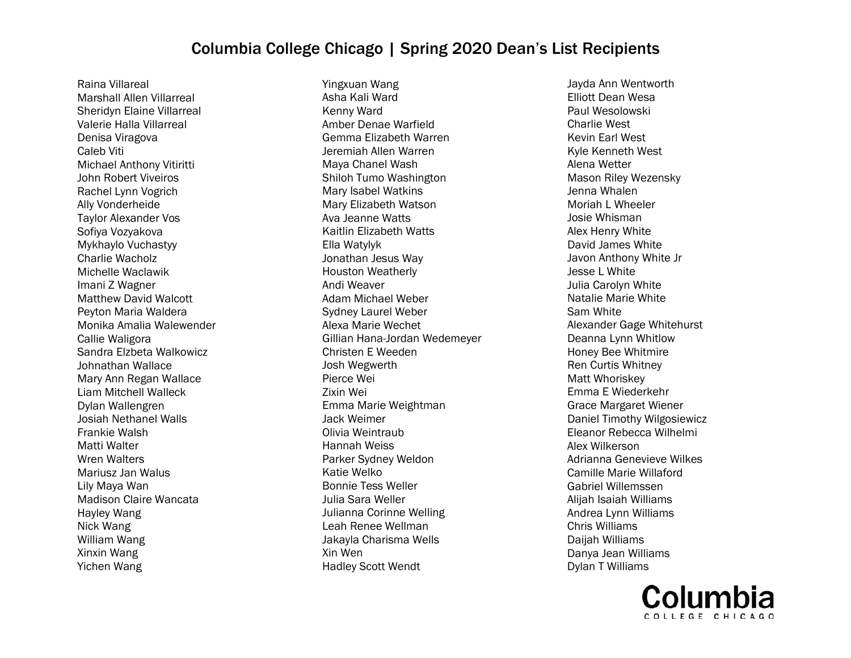Raina Villareal Marshall Allen Villarreal Sheridyn Elaine Villarreal Valerie Halla Villarreal Denisa Viragova Caleb Viti Michael Anthony Vitiritti John Robert Viveiros Rachel Lynn Vogrich Ally Vonderheide Taylor Alexander Vos Sofiya Vozyakova Mykhaylo Vuchastyy Charlie Wacholz Michelle Waclawik Imani Z Wagner Matthew David Walcott Peyton Maria Waldera Monika Amalia Walewender Callie Waligora Sandra Elzbeta Walkowicz Johnathan Wallace Mary Ann Regan Wallace Liam Mitchell Walleck Dylan Wallengren Josiah Nethanel Walls Frankie Walsh Matti Walter Wren Walters Mariusz Jan Walus Lily Maya Wan Madison Claire Wancata Hayley Wang Nick Wang William Wang Xinxin Wang Yichen Wang

Yingxuan Wang Asha Kali Ward Kenny Ward Amber Denae Warfield Gemma Elizabeth Warren Jeremiah Allen Warren Maya Chanel Wash Shiloh Tumo Washington Mary Isabel Watkins Mary Elizabeth Watson Ava Jeanne Watts Kaitlin Elizabeth Watts Ella Watylyk Jonathan Jesus Way Houston Weatherly Andi Weaver Adam Michael Weber Sydney Laurel Weber Alexa Marie Wechet Gillian Hana-Jordan Wedemeyer Christen E Weeden Josh Wegwerth Pierce Wei Zixin Wei Emma Marie Weightman Jack Weimer Olivia Weintraub Hannah Weiss Parker Sydney Weldon Katie Welko Bonnie Tess Weller Julia Sara Weller Julianna Corinne Welling Leah Renee Wellman Jakayla Charisma Wells Xin Wen Hadley Scott Wendt

Jayda Ann Wentworth Elliott Dean Wesa Paul Wesolowski Charlie West Kevin Earl West Kyle Kenneth West Alena Wetter Mason Riley Wezensky Jenna Whalen Moriah L Wheeler Josie Whisman Alex Henry White David James White Javon Anthony White Jr Jesse L White Julia Carolyn White Natalie Marie White Sam White Alexander Gage Whitehurst Deanna Lynn Whitlow Honey Bee Whitmire Ren Curtis Whitney Matt Whoriskey Emma E Wiederkehr Grace Margaret Wiener Daniel Timothy Wilgosiewicz Eleanor Rebecca Wilhelmi Alex Wilkerson Adrianna Genevieve Wilkes Camille Marie Willaford Gabriel Willemssen Alijah Isaiah Williams Andrea Lynn Williams Chris Williams Daijah Williams Danya Jean Williams Dylan T Williams